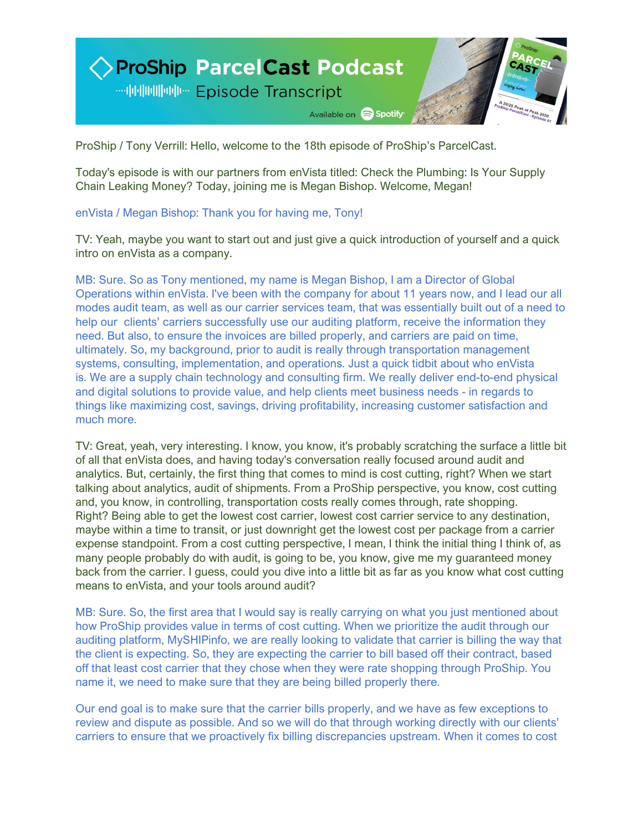

ProShip / Tony Verrill: Hello, welcome to the 18th episode of ProShip's ParcelCast.

Today's episode is with our partners from enVista titled: Check the Plumbing: Is Your Supply Chain Leaking Money? Today, joining me is Megan Bishop. Welcome, Megan!

## enVista / Megan Bishop: Thank you for having me, Tony!

TV: Yeah, maybe you want to start out and just give a quick introduction of yourself and a quick intro on enVista as a company.

MB: Sure. So as Tony mentioned, my name is Megan Bishop, I am a Director of Global Operations within enVista. I've been with the company for about 11 years now, and I lead our all modes audit team, as well as our carrier services team, that was essentially built out of a need to help our clients' carriers successfully use our auditing platform, receive the information they need. But also, to ensure the invoices are billed properly, and carriers are paid on time, ultimately. So, my background, prior to audit is really through transportation management systems, consulting, implementation, and operations. Just a quick tidbit about who enVista is. We are a supply chain technology and consulting firm. We really deliver end-to-end physical and digital solutions to provide value, and help clients meet business needs - in regards to things like maximizing cost, savings, driving profitability, increasing customer satisfaction and much more.

TV: Great, yeah, very interesting. I know, you know, it's probably scratching the surface a little bit of all that enVista does, and having today's conversation really focused around audit and analytics. But, certainly, the first thing that comes to mind is cost cutting, right? When we start talking about analytics, audit of shipments. From a ProShip perspective, you know, cost cutting and, you know, in controlling, transportation costs really comes through, rate shopping. Right? Being able to get the lowest cost carrier, lowest cost carrier service to any destination, maybe within a time to transit, or just downright get the lowest cost per package from a carrier expense standpoint. From a cost cutting perspective, I mean, I think the initial thing I think of, as many people probably do with audit, is going to be, you know, give me my guaranteed money back from the carrier. I guess, could you dive into a little bit as far as you know what cost cutting means to enVista, and your tools around audit?

MB: Sure. So, the first area that I would say is really carrying on what you just mentioned about how ProShip provides value in terms of cost cutting. When we prioritize the audit through our auditing platform, MySHIPinfo, we are really looking to validate that carrier is billing the way that the client is expecting. So, they are expecting the carrier to bill based off their contract, based off that least cost carrier that they chose when they were rate shopping through ProShip. You name it, we need to make sure that they are being billed properly there.

Our end goal is to make sure that the carrier bills properly, and we have as few exceptions to review and dispute as possible. And so we will do that through working directly with our clients' carriers to ensure that we proactively fix billing discrepancies upstream. When it comes to cost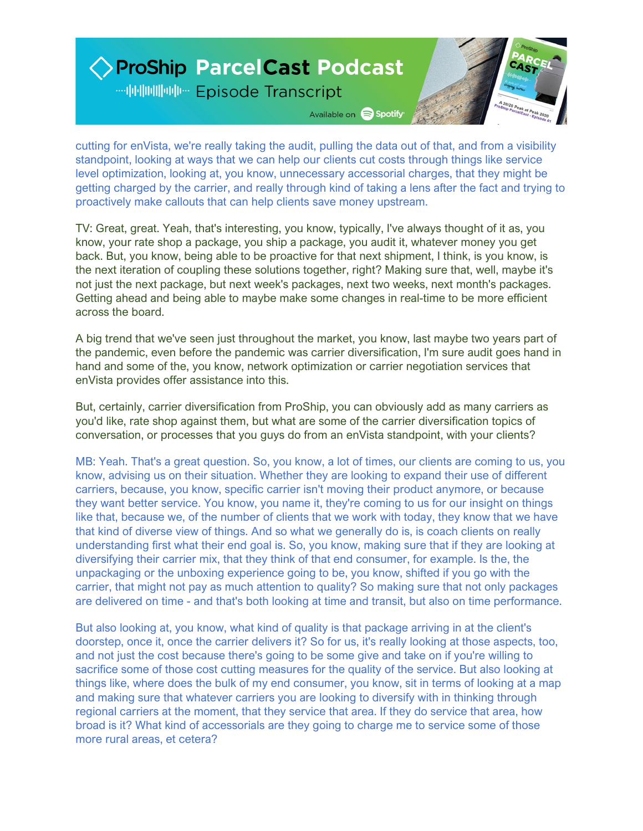## ◇ ProShip Parcel Cast Podcast **… 阿丽阿亚 Episode Transcript** Available on Spotify

cutting for enVista, we're really taking the audit, pulling the data out of that, and from a visibility standpoint, looking at ways that we can help our clients cut costs through things like service level optimization, looking at, you know, unnecessary accessorial charges, that they might be getting charged by the carrier, and really through kind of taking a lens after the fact and trying to proactively make callouts that can help clients save money upstream.

TV: Great, great. Yeah, that's interesting, you know, typically, I've always thought of it as, you know, your rate shop a package, you ship a package, you audit it, whatever money you get back. But, you know, being able to be proactive for that next shipment, I think, is you know, is the next iteration of coupling these solutions together, right? Making sure that, well, maybe it's not just the next package, but next week's packages, next two weeks, next month's packages. Getting ahead and being able to maybe make some changes in real-time to be more efficient across the board.

A big trend that we've seen just throughout the market, you know, last maybe two years part of the pandemic, even before the pandemic was carrier diversification, I'm sure audit goes hand in hand and some of the, you know, network optimization or carrier negotiation services that enVista provides offer assistance into this.

But, certainly, carrier diversification from ProShip, you can obviously add as many carriers as you'd like, rate shop against them, but what are some of the carrier diversification topics of conversation, or processes that you guys do from an enVista standpoint, with your clients?

MB: Yeah. That's a great question. So, you know, a lot of times, our clients are coming to us, you know, advising us on their situation. Whether they are looking to expand their use of different carriers, because, you know, specific carrier isn't moving their product anymore, or because they want better service. You know, you name it, they're coming to us for our insight on things like that, because we, of the number of clients that we work with today, they know that we have that kind of diverse view of things. And so what we generally do is, is coach clients on really understanding first what their end goal is. So, you know, making sure that if they are looking at diversifying their carrier mix, that they think of that end consumer, for example. Is the, the unpackaging or the unboxing experience going to be, you know, shifted if you go with the carrier, that might not pay as much attention to quality? So making sure that not only packages are delivered on time - and that's both looking at time and transit, but also on time performance.

But also looking at, you know, what kind of quality is that package arriving in at the client's doorstep, once it, once the carrier delivers it? So for us, it's really looking at those aspects, too, and not just the cost because there's going to be some give and take on if you're willing to sacrifice some of those cost cutting measures for the quality of the service. But also looking at things like, where does the bulk of my end consumer, you know, sit in terms of looking at a map and making sure that whatever carriers you are looking to diversify with in thinking through regional carriers at the moment, that they service that area. If they do service that area, how broad is it? What kind of accessorials are they going to charge me to service some of those more rural areas, et cetera?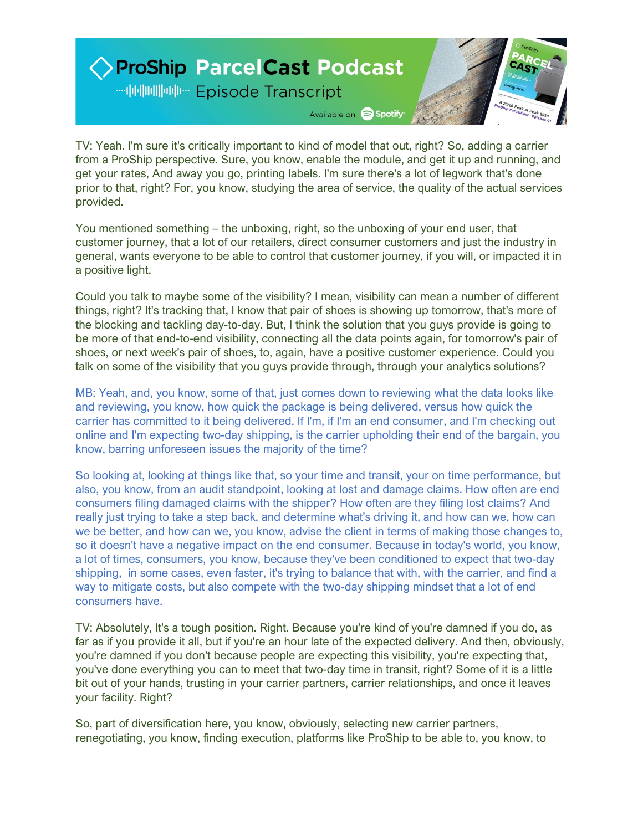

TV: Yeah. I'm sure it's critically important to kind of model that out, right? So, adding a carrier from a ProShip perspective. Sure, you know, enable the module, and get it up and running, and get your rates, And away you go, printing labels. I'm sure there's a lot of legwork that's done prior to that, right? For, you know, studying the area of service, the quality of the actual services provided.

You mentioned something – the unboxing, right, so the unboxing of your end user, that customer journey, that a lot of our retailers, direct consumer customers and just the industry in general, wants everyone to be able to control that customer journey, if you will, or impacted it in a positive light.

Could you talk to maybe some of the visibility? I mean, visibility can mean a number of different things, right? It's tracking that, I know that pair of shoes is showing up tomorrow, that's more of the blocking and tackling day-to-day. But, I think the solution that you guys provide is going to be more of that end-to-end visibility, connecting all the data points again, for tomorrow's pair of shoes, or next week's pair of shoes, to, again, have a positive customer experience. Could you talk on some of the visibility that you guys provide through, through your analytics solutions?

MB: Yeah, and, you know, some of that, just comes down to reviewing what the data looks like and reviewing, you know, how quick the package is being delivered, versus how quick the carrier has committed to it being delivered. If I'm, if I'm an end consumer, and I'm checking out online and I'm expecting two-day shipping, is the carrier upholding their end of the bargain, you know, barring unforeseen issues the majority of the time?

So looking at, looking at things like that, so your time and transit, your on time performance, but also, you know, from an audit standpoint, looking at lost and damage claims. How often are end consumers filing damaged claims with the shipper? How often are they filing lost claims? And really just trying to take a step back, and determine what's driving it, and how can we, how can we be better, and how can we, you know, advise the client in terms of making those changes to, so it doesn't have a negative impact on the end consumer. Because in today's world, you know, a lot of times, consumers, you know, because they've been conditioned to expect that two-day shipping, in some cases, even faster, it's trying to balance that with, with the carrier, and find a way to mitigate costs, but also compete with the two-day shipping mindset that a lot of end consumers have.

TV: Absolutely, It's a tough position. Right. Because you're kind of you're damned if you do, as far as if you provide it all, but if you're an hour late of the expected delivery. And then, obviously, you're damned if you don't because people are expecting this visibility, you're expecting that, you've done everything you can to meet that two-day time in transit, right? Some of it is a little bit out of your hands, trusting in your carrier partners, carrier relationships, and once it leaves your facility. Right?

So, part of diversification here, you know, obviously, selecting new carrier partners, renegotiating, you know, finding execution, platforms like ProShip to be able to, you know, to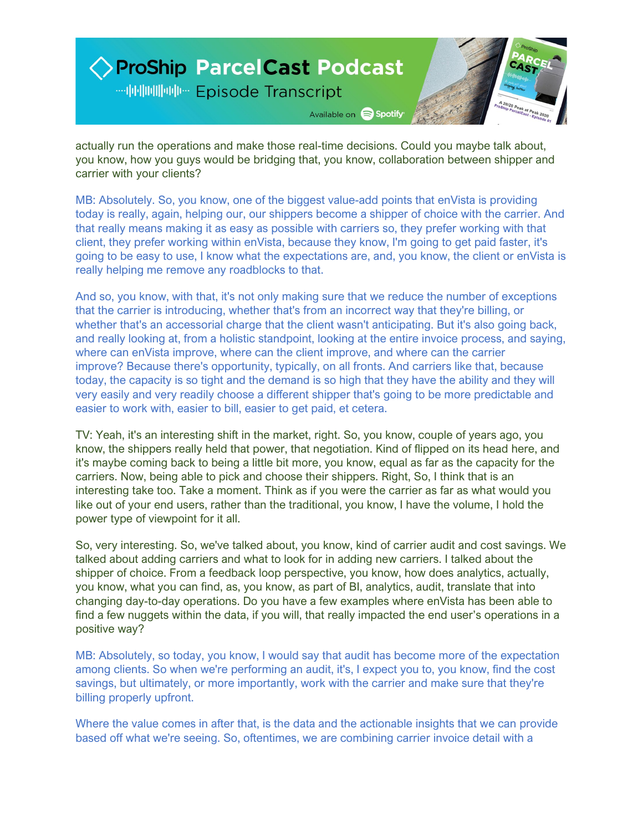

actually run the operations and make those real-time decisions. Could you maybe talk about, you know, how you guys would be bridging that, you know, collaboration between shipper and carrier with your clients?

MB: Absolutely. So, you know, one of the biggest value-add points that enVista is providing today is really, again, helping our, our shippers become a shipper of choice with the carrier. And that really means making it as easy as possible with carriers so, they prefer working with that client, they prefer working within enVista, because they know, I'm going to get paid faster, it's going to be easy to use, I know what the expectations are, and, you know, the client or enVista is really helping me remove any roadblocks to that.

And so, you know, with that, it's not only making sure that we reduce the number of exceptions that the carrier is introducing, whether that's from an incorrect way that they're billing, or whether that's an accessorial charge that the client wasn't anticipating. But it's also going back, and really looking at, from a holistic standpoint, looking at the entire invoice process, and saying, where can enVista improve, where can the client improve, and where can the carrier improve? Because there's opportunity, typically, on all fronts. And carriers like that, because today, the capacity is so tight and the demand is so high that they have the ability and they will very easily and very readily choose a different shipper that's going to be more predictable and easier to work with, easier to bill, easier to get paid, et cetera.

TV: Yeah, it's an interesting shift in the market, right. So, you know, couple of years ago, you know, the shippers really held that power, that negotiation. Kind of flipped on its head here, and it's maybe coming back to being a little bit more, you know, equal as far as the capacity for the carriers. Now, being able to pick and choose their shippers. Right, So, I think that is an interesting take too. Take a moment. Think as if you were the carrier as far as what would you like out of your end users, rather than the traditional, you know, I have the volume, I hold the power type of viewpoint for it all.

So, very interesting. So, we've talked about, you know, kind of carrier audit and cost savings. We talked about adding carriers and what to look for in adding new carriers. I talked about the shipper of choice. From a feedback loop perspective, you know, how does analytics, actually, you know, what you can find, as, you know, as part of BI, analytics, audit, translate that into changing day-to-day operations. Do you have a few examples where enVista has been able to find a few nuggets within the data, if you will, that really impacted the end user's operations in a positive way?

MB: Absolutely, so today, you know, I would say that audit has become more of the expectation among clients. So when we're performing an audit, it's, I expect you to, you know, find the cost savings, but ultimately, or more importantly, work with the carrier and make sure that they're billing properly upfront.

Where the value comes in after that, is the data and the actionable insights that we can provide based off what we're seeing. So, oftentimes, we are combining carrier invoice detail with a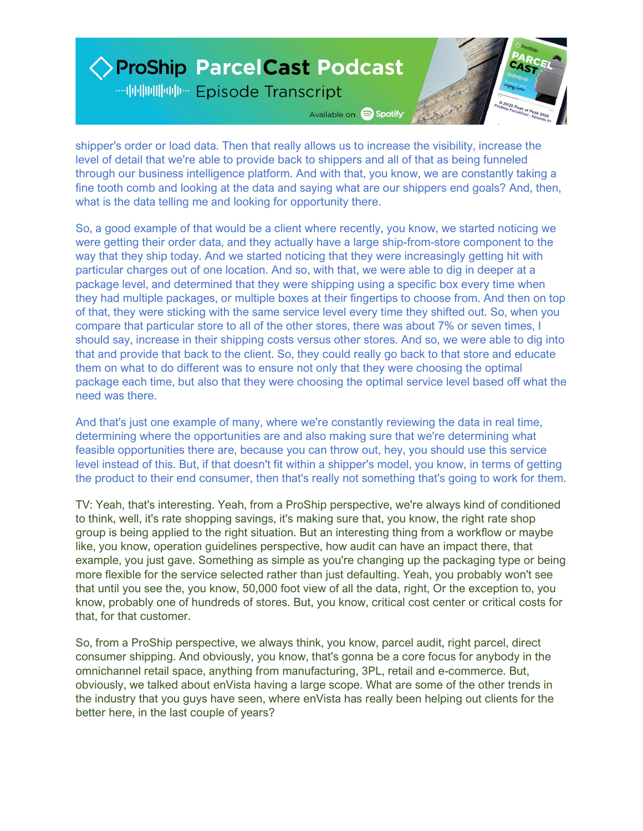## ◇ ProShip Parcel Cast Podcast **--- 中国画画 -- Episode Transcript** Available on Spotify

shipper's order or load data. Then that really allows us to increase the visibility, increase the level of detail that we're able to provide back to shippers and all of that as being funneled through our business intelligence platform. And with that, you know, we are constantly taking a fine tooth comb and looking at the data and saying what are our shippers end goals? And, then, what is the data telling me and looking for opportunity there.

So, a good example of that would be a client where recently, you know, we started noticing we were getting their order data, and they actually have a large ship-from-store component to the way that they ship today. And we started noticing that they were increasingly getting hit with particular charges out of one location. And so, with that, we were able to dig in deeper at a package level, and determined that they were shipping using a specific box every time when they had multiple packages, or multiple boxes at their fingertips to choose from. And then on top of that, they were sticking with the same service level every time they shifted out. So, when you compare that particular store to all of the other stores, there was about 7% or seven times, I should say, increase in their shipping costs versus other stores. And so, we were able to dig into that and provide that back to the client. So, they could really go back to that store and educate them on what to do different was to ensure not only that they were choosing the optimal package each time, but also that they were choosing the optimal service level based off what the need was there.

And that's just one example of many, where we're constantly reviewing the data in real time, determining where the opportunities are and also making sure that we're determining what feasible opportunities there are, because you can throw out, hey, you should use this service level instead of this. But, if that doesn't fit within a shipper's model, you know, in terms of getting the product to their end consumer, then that's really not something that's going to work for them.

TV: Yeah, that's interesting. Yeah, from a ProShip perspective, we're always kind of conditioned to think, well, it's rate shopping savings, it's making sure that, you know, the right rate shop group is being applied to the right situation. But an interesting thing from a workflow or maybe like, you know, operation guidelines perspective, how audit can have an impact there, that example, you just gave. Something as simple as you're changing up the packaging type or being more flexible for the service selected rather than just defaulting. Yeah, you probably won't see that until you see the, you know, 50,000 foot view of all the data, right, Or the exception to, you know, probably one of hundreds of stores. But, you know, critical cost center or critical costs for that, for that customer.

So, from a ProShip perspective, we always think, you know, parcel audit, right parcel, direct consumer shipping. And obviously, you know, that's gonna be a core focus for anybody in the omnichannel retail space, anything from manufacturing, 3PL, retail and e-commerce. But, obviously, we talked about enVista having a large scope. What are some of the other trends in the industry that you guys have seen, where enVista has really been helping out clients for the better here, in the last couple of years?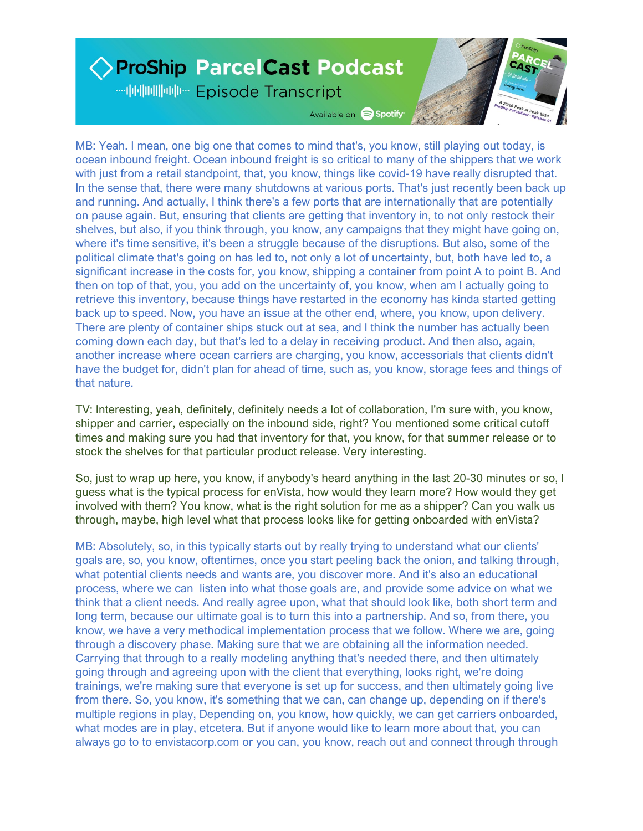## ◇ ProShip Parcel Cast Podcast **--- 中国画画 - Episode Transcript** Available on Spotify

MB: Yeah. I mean, one big one that comes to mind that's, you know, still playing out today, is ocean inbound freight. Ocean inbound freight is so critical to many of the shippers that we work with just from a retail standpoint, that, you know, things like covid-19 have really disrupted that. In the sense that, there were many shutdowns at various ports. That's just recently been back up and running. And actually, I think there's a few ports that are internationally that are potentially on pause again. But, ensuring that clients are getting that inventory in, to not only restock their shelves, but also, if you think through, you know, any campaigns that they might have going on, where it's time sensitive, it's been a struggle because of the disruptions. But also, some of the political climate that's going on has led to, not only a lot of uncertainty, but, both have led to, a significant increase in the costs for, you know, shipping a container from point A to point B. And then on top of that, you, you add on the uncertainty of, you know, when am I actually going to retrieve this inventory, because things have restarted in the economy has kinda started getting back up to speed. Now, you have an issue at the other end, where, you know, upon delivery. There are plenty of container ships stuck out at sea, and I think the number has actually been coming down each day, but that's led to a delay in receiving product. And then also, again, another increase where ocean carriers are charging, you know, accessorials that clients didn't have the budget for, didn't plan for ahead of time, such as, you know, storage fees and things of that nature.

TV: Interesting, yeah, definitely, definitely needs a lot of collaboration, I'm sure with, you know, shipper and carrier, especially on the inbound side, right? You mentioned some critical cutoff times and making sure you had that inventory for that, you know, for that summer release or to stock the shelves for that particular product release. Very interesting.

So, just to wrap up here, you know, if anybody's heard anything in the last 20-30 minutes or so, I guess what is the typical process for enVista, how would they learn more? How would they get involved with them? You know, what is the right solution for me as a shipper? Can you walk us through, maybe, high level what that process looks like for getting onboarded with enVista?

MB: Absolutely, so, in this typically starts out by really trying to understand what our clients' goals are, so, you know, oftentimes, once you start peeling back the onion, and talking through, what potential clients needs and wants are, you discover more. And it's also an educational process, where we can listen into what those goals are, and provide some advice on what we think that a client needs. And really agree upon, what that should look like, both short term and long term, because our ultimate goal is to turn this into a partnership. And so, from there, you know, we have a very methodical implementation process that we follow. Where we are, going through a discovery phase. Making sure that we are obtaining all the information needed. Carrying that through to a really modeling anything that's needed there, and then ultimately going through and agreeing upon with the client that everything, looks right, we're doing trainings, we're making sure that everyone is set up for success, and then ultimately going live from there. So, you know, it's something that we can, can change up, depending on if there's multiple regions in play, Depending on, you know, how quickly, we can get carriers onboarded, what modes are in play, etcetera. But if anyone would like to learn more about that, you can always go to to envistacorp.com or you can, you know, reach out and connect through through